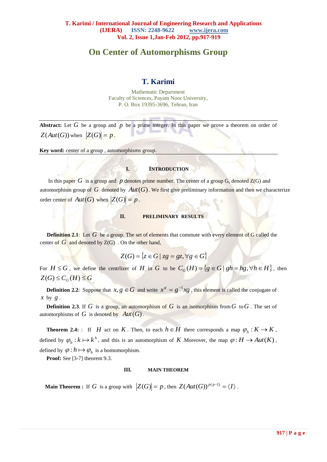# **On Center of Automorphisms Group**

# **T. Karimi**

Mathematic Department Faculty of Sciences, Payam Noor University, P. O. Box 19395-3696, Tehran, Iran

Abstract: Let  $G$  be a group and  $p$  be a prime integer. In this paper we prove a theorem on order of  $Z(Aut(G))$  when  $|Z(G)| = p$ .

**Key word:** center of a group , automorphisms group.

#### **I. INTRODUCTION**

In this paper  $G$  is [a group](http://en.wikipedia.org/wiki/Group_%28mathematics%29) and  $p$  denotes prime number. The center of a group  $G$ , denoted  $Z(G)$  and automorphism group of  $G$  denoted by  $Aut(G)$ . We first give preliminary information and then we characterize order center of  $Aut(G)$  when  $|Z(G)| = p$ .

#### **II. PRELIMINARY RESULTS**

**Definition 2.1**: Let G be a group. The [set](http://en.wikipedia.org/wiki/Set_%28mathematics%29) of elements that [commute](http://en.wikipedia.org/wiki/Commutative) with every element of G called the center of  $G$  and denoted by  $Z(G)$ . On the other hand,

 $Z(G) = \{z \in G \mid zz = gz, \forall g \in G\}$ 

For  $H \le G$ , we define the centrizer of H in G to be  $C_G(H) = \{ g \in G \mid gh = hg, \forall h \in H \}$ , then  $Z(G) \leq C_G(H) \leq G$ .

**Definition 2.2**: Suppose that  $x, g \in G$  and write  $x^g = g^{-1}xg$ , this element is called the conjugate of *x* by *g* .

**Definition 2.3**. If G is a group, an automorphism of G is an isomorphism from  $G$  to  $G$ . The set of automorphisms of G is denoted by  $Aut(G)$ .

 **Theorem 2.4:** : If *H* act on *K*. Then, to each  $h \in H$  there corresponds a map  $\varphi_h : K \to K$ , defined by  $\varphi_h : k \mapsto k^h$ , and this is an automorphism of K. Moreover, the map  $\varphi : H \to Aut(K)$ , defined by  $\varphi: h \mapsto \varphi_h$  is a homomorphism.

**Proof:** See [3-7] theorem 9.3.

#### **III. MAIN THEOREM**

 **Main Theorem :** If G is a group with  $|Z(G)| = p$ , then  $Z(Aut(G))^{p(p-1)} = \langle I \rangle$ .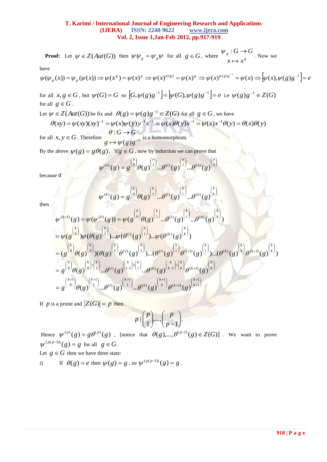### **T. Karimi / International Journal of Engineering Research and Applications (IJERA) ISSN: 2248-9622 www.ijera.com Vol. 2, Issue 1,Jan-Feb 2012, pp.917-919**

**Proof:** Let  $\psi \in Z(Aut(G))$  then  $\psi \psi_{g} = \psi_{g} \psi$  for all  $g \in G$ , where  $\psi_{g} \in G$ *g*  $x \mapsto x$  $G \rightarrow G$  $\mapsto$  $\psi_g:G\to$ . Now we

have

$$
\psi(\psi_g(x)) = \psi_g(\psi(x)) \Rightarrow \psi(x^g) = \psi(x)^g \Rightarrow \psi(x)^{\psi(g)} = \psi(x)^g \Rightarrow \psi(x)^{\psi(g)g^{-1}} = \psi(x) \Rightarrow \left[\psi(x), \psi(g)g^{-1}\right] = e^{-\psi(g)g^{-1}}
$$

for all 
$$
x, g \in G
$$
, but  $\psi(G) = G$  so  $[G, \psi(g)g^{-1}] = [\psi(G), \psi(g)g^{-1}] = e$  i.e  $\psi(g)g^{-1} \in Z(G)$   
for all  $g \in G$ .

Let 
$$
\psi \in Z(Aut(G))
$$
 be fix and  $\theta(g) = \psi(g)g^{-1} \in Z(G)$  for all  $g \in G$ , we have  

$$
\theta(gx) = \psi(g)(xy)^{-1} = \psi(g)\psi(g)x^{-1}x^{-1} = \psi(g)\theta(xy)x^{-1} = \psi(g)x^{-1}\theta(y) =
$$

$$
\theta(xy) = \psi(xy)(xy)^{-1} = \psi(x)\psi(y)y^{-1}x^{-1} = \psi(x)\theta(y)x^{-1} = \psi(x)x^{-1}\theta(y) = \theta(x)\theta(y)
$$

for all  $x, y \in G$ . Therefore  $g \mapsto \psi(g)g^{-1}$ is a homomorphism.

By the above  $\psi(g) = g\theta(g)$ ,  $\forall g \in G$ , now by induction we can prove that

$$
\psi^{(n)}(g) = g^{n \choose 0} \theta(g)^{n \choose 1} \dots \theta^{(i)}(g)^{n \choose i} \dots \theta^{(n)}(g)^{n \choose n}
$$

because if

$$
\psi^{(k)}(g) = g^{k \choose 0} \theta(g)^{k \choose 1} \dots \theta^{(i)}(g)^{k \choose i} \dots \theta^{(n)}(g)^{k \choose k}
$$

then

 1 1 ( 1) 1 ( ) 1 1 ( ) 1 0 1 0 0 1 ( ) 1 ( ) 1 ( 1) 0 0 1 (2) 1 ( ) ( 1) ( ) ( 1) 0 1 ( ) ( ) ( 1) ( ) 0 1 ( ) ( ) ( ) ... ( ) ... ( ) ( ) ( ) ... ( ) ... ( ) ( ) ( ( ) )( ( ) ( ) )...( ( ) ( ) )...( ( ) ( ) ) ( ) ( ( ) )... ( ( ) )... ( ( ) ) ( ) ( ( )) ( ( ) ... ( ) ... ( ) ) *k k k k k i k k i k k k k k k k k k i k k i k i k k k k k k k k i k k i i k i k k k k k k i k k i k k k k i n k i k k k k g g g g g g g g g g g g g g g g g g g g g g g g g g g g* 

If *p* is a prime and  $|Z(G)| = p$  then

$$
p \mid \binom{p}{1}, \dots, \binom{p}{p-1}.
$$

Hence  $\psi^{(p)}(g) = g\theta^{(p)}(g)$ , [notice that  $\theta(g),...,\theta^{(p-1)}(g) \in Z(G)$ ]. We want to prove  $\psi^{(p(p-1))}(g) = g$  for all  $g \in G$ . Let  $g \in G$  then we have three state:

i) If 
$$
\theta(g) = e
$$
 then  $\psi(g) = g$ , so  $\psi^{(p(p-1))}(g) = g$ .